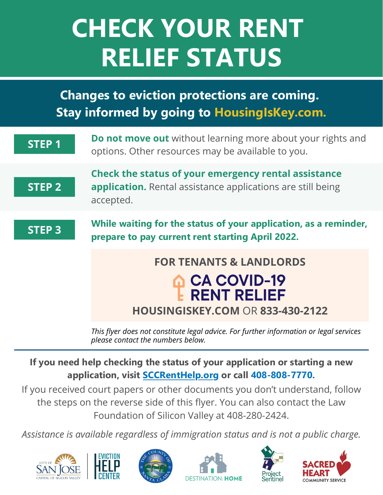# **CHECK YOUR RENT RELIEF STATUS**

### **Changes to eviction protections are coming. Stay informed by going to HousingIsKey.com.**



*please contact the numbers below.*

**If you need help checking the status of your application or starting a new application, visit [SCCRentHelp.org](https://osh.sccgov.org/need-assistance/rental-assistance) or call 408-808-7770.**

If you received court papers or other documents you don't understand, follow the steps on the reverse side of this flyer. You can also contact the Law Foundation of Silicon Valley at 408-280-2424.

*Assistance is available regardless of immigration status and is not a public charge.*